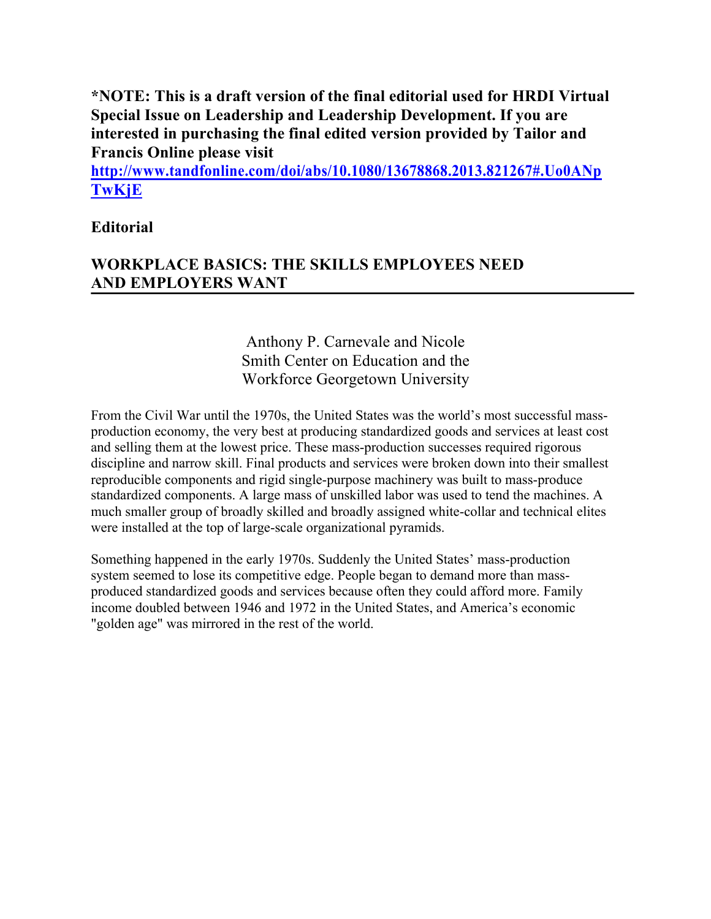**\*NOTE: This is a draft version of the final editorial used for HRDI Virtual Special Issue on Leadership and Leadership Development. If you are interested in purchasing the final edited version provided by Tailor and Francis Online please visit** 

**http://www.tandfonline.com/doi/abs/10.1080/13678868.2013.821267#.Uo0ANp TwKjE**

# **Editorial**

# **WORKPLACE BASICS: THE SKILLS EMPLOYEES NEED AND EMPLOYERS WANT**

# Anthony P. Carnevale and Nicole Smith Center on Education and the Workforce Georgetown University

From the Civil War until the 1970s, the United States was the world's most successful massproduction economy, the very best at producing standardized goods and services at least cost and selling them at the lowest price. These mass-production successes required rigorous discipline and narrow skill. Final products and services were broken down into their smallest reproducible components and rigid single-purpose machinery was built to mass-produce standardized components. A large mass of unskilled labor was used to tend the machines. A much smaller group of broadly skilled and broadly assigned white-collar and technical elites were installed at the top of large-scale organizational pyramids.

Something happened in the early 1970s. Suddenly the United States' mass-production system seemed to lose its competitive edge. People began to demand more than massproduced standardized goods and services because often they could afford more. Family income doubled between 1946 and 1972 in the United States, and America's economic "golden age" was mirrored in the rest of the world.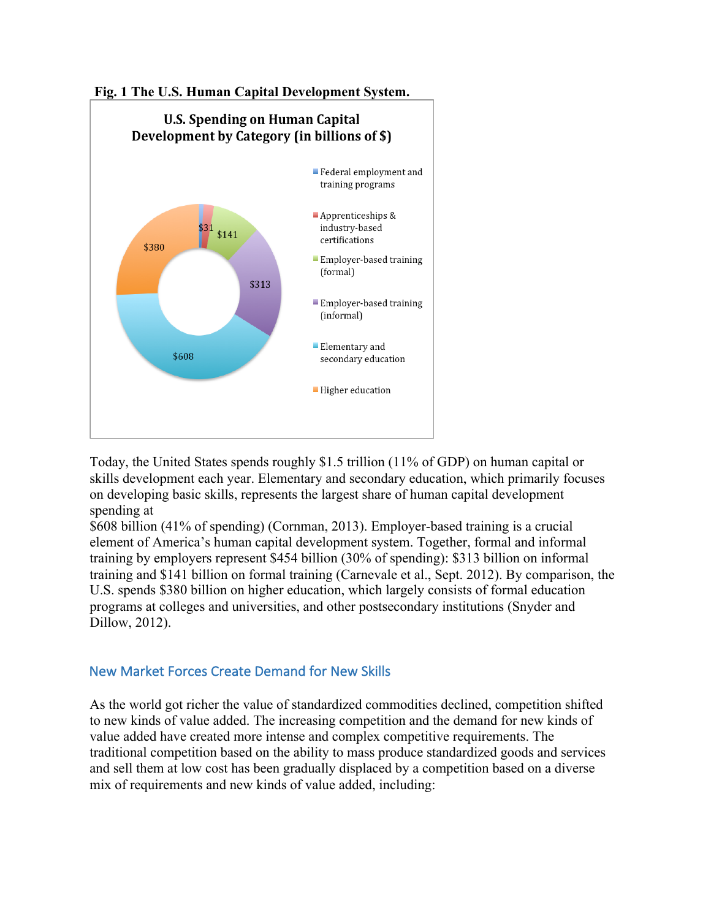

Today, the United States spends roughly \$1.5 trillion (11% of GDP) on human capital or skills development each year. Elementary and secondary education, which primarily focuses on developing basic skills, represents the largest share of human capital development spending at

\$608 billion (41% of spending) (Cornman, 2013). Employer-based training is a crucial element of America's human capital development system. Together, formal and informal training by employers represent \$454 billion (30% of spending): \$313 billion on informal training and \$141 billion on formal training (Carnevale et al., Sept. 2012). By comparison, the U.S. spends \$380 billion on higher education, which largely consists of formal education programs at colleges and universities, and other postsecondary institutions (Snyder and Dillow, 2012).

## New Market Forces Create Demand for New Skills

As the world got richer the value of standardized commodities declined, competition shifted to new kinds of value added. The increasing competition and the demand for new kinds of value added have created more intense and complex competitive requirements. The traditional competition based on the ability to mass produce standardized goods and services and sell them at low cost has been gradually displaced by a competition based on a diverse mix of requirements and new kinds of value added, including: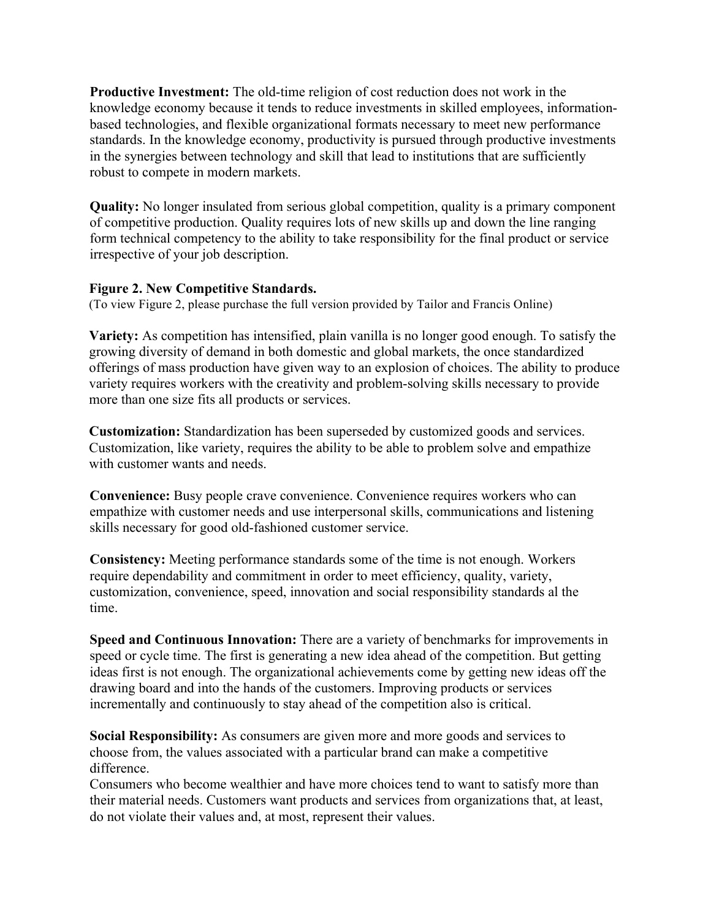**Productive Investment:** The old-time religion of cost reduction does not work in the knowledge economy because it tends to reduce investments in skilled employees, informationbased technologies, and flexible organizational formats necessary to meet new performance standards. In the knowledge economy, productivity is pursued through productive investments in the synergies between technology and skill that lead to institutions that are sufficiently robust to compete in modern markets.

**Quality:** No longer insulated from serious global competition, quality is a primary component of competitive production. Quality requires lots of new skills up and down the line ranging form technical competency to the ability to take responsibility for the final product or service irrespective of your job description.

#### **Figure 2. New Competitive Standards.**

(To view Figure 2, please purchase the full version provided by Tailor and Francis Online)

**Variety:** As competition has intensified, plain vanilla is no longer good enough. To satisfy the growing diversity of demand in both domestic and global markets, the once standardized offerings of mass production have given way to an explosion of choices. The ability to produce variety requires workers with the creativity and problem-solving skills necessary to provide more than one size fits all products or services.

**Customization:** Standardization has been superseded by customized goods and services. Customization, like variety, requires the ability to be able to problem solve and empathize with customer wants and needs.

**Convenience:** Busy people crave convenience. Convenience requires workers who can empathize with customer needs and use interpersonal skills, communications and listening skills necessary for good old-fashioned customer service.

**Consistency:** Meeting performance standards some of the time is not enough. Workers require dependability and commitment in order to meet efficiency, quality, variety, customization, convenience, speed, innovation and social responsibility standards al the time.

**Speed and Continuous Innovation:** There are a variety of benchmarks for improvements in speed or cycle time. The first is generating a new idea ahead of the competition. But getting ideas first is not enough. The organizational achievements come by getting new ideas off the drawing board and into the hands of the customers. Improving products or services incrementally and continuously to stay ahead of the competition also is critical.

**Social Responsibility:** As consumers are given more and more goods and services to choose from, the values associated with a particular brand can make a competitive difference.

Consumers who become wealthier and have more choices tend to want to satisfy more than their material needs. Customers want products and services from organizations that, at least, do not violate their values and, at most, represent their values.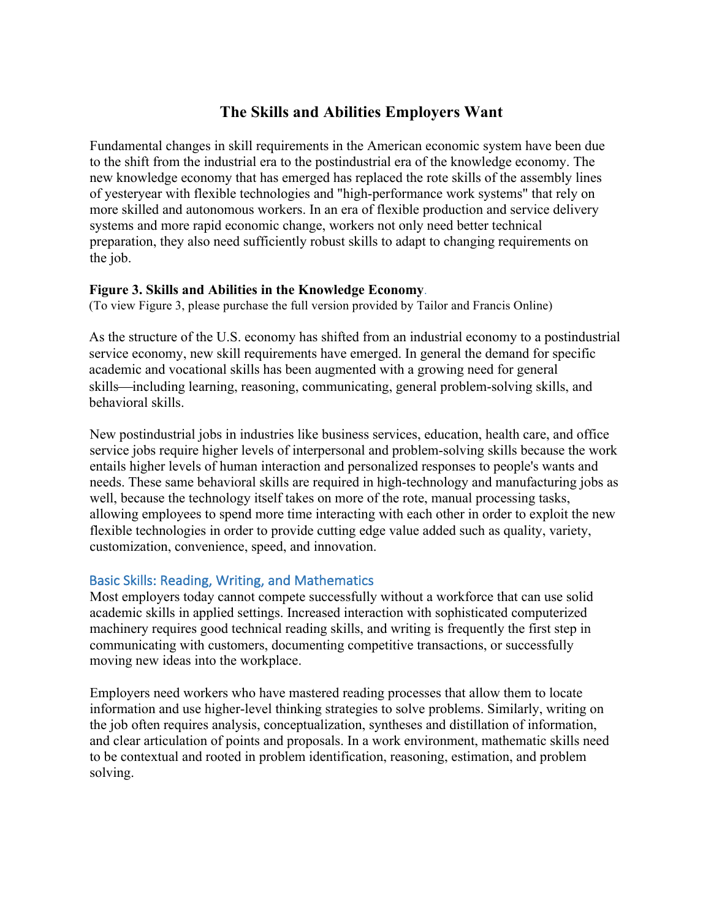# **The Skills and Abilities Employers Want**

Fundamental changes in skill requirements in the American economic system have been due to the shift from the industrial era to the postindustrial era of the knowledge economy. The new knowledge economy that has emerged has replaced the rote skills of the assembly lines of yesteryear with flexible technologies and "high-performance work systems" that rely on more skilled and autonomous workers. In an era of flexible production and service delivery systems and more rapid economic change, workers not only need better technical preparation, they also need sufficiently robust skills to adapt to changing requirements on the job.

### **Figure 3. Skills and Abilities in the Knowledge Economy**.

(To view Figure 3, please purchase the full version provided by Tailor and Francis Online)

As the structure of the U.S. economy has shifted from an industrial economy to a postindustrial service economy, new skill requirements have emerged. In general the demand for specific academic and vocational skills has been augmented with a growing need for general skills—including learning, reasoning, communicating, general problem-solving skills, and behavioral skills.

New postindustrial jobs in industries like business services, education, health care, and office service jobs require higher levels of interpersonal and problem-solving skills because the work entails higher levels of human interaction and personalized responses to people's wants and needs. These same behavioral skills are required in high-technology and manufacturing jobs as well, because the technology itself takes on more of the rote, manual processing tasks, allowing employees to spend more time interacting with each other in order to exploit the new flexible technologies in order to provide cutting edge value added such as quality, variety, customization, convenience, speed, and innovation.

## Basic Skills: Reading, Writing, and Mathematics

Most employers today cannot compete successfully without a workforce that can use solid academic skills in applied settings. Increased interaction with sophisticated computerized machinery requires good technical reading skills, and writing is frequently the first step in communicating with customers, documenting competitive transactions, or successfully moving new ideas into the workplace.

Employers need workers who have mastered reading processes that allow them to locate information and use higher-level thinking strategies to solve problems. Similarly, writing on the job often requires analysis, conceptualization, syntheses and distillation of information, and clear articulation of points and proposals. In a work environment, mathematic skills need to be contextual and rooted in problem identification, reasoning, estimation, and problem solving.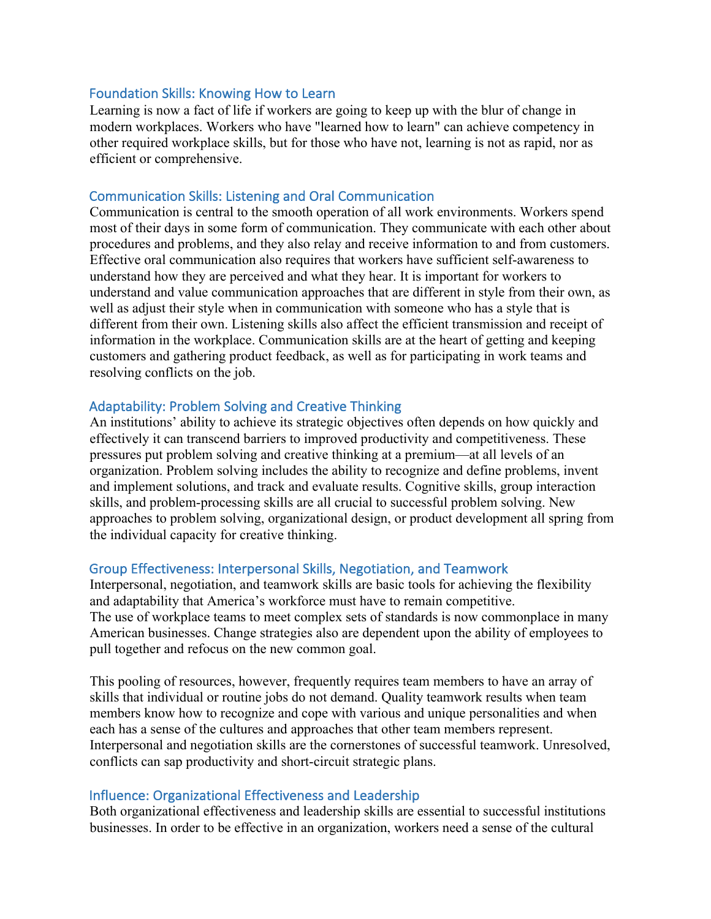#### Foundation Skills: Knowing How to Learn

Learning is now a fact of life if workers are going to keep up with the blur of change in modern workplaces. Workers who have "learned how to learn" can achieve competency in other required workplace skills, but for those who have not, learning is not as rapid, nor as efficient or comprehensive.

#### Communication Skills: Listening and Oral Communication

Communication is central to the smooth operation of all work environments. Workers spend most of their days in some form of communication. They communicate with each other about procedures and problems, and they also relay and receive information to and from customers. Effective oral communication also requires that workers have sufficient self-awareness to understand how they are perceived and what they hear. It is important for workers to understand and value communication approaches that are different in style from their own, as well as adjust their style when in communication with someone who has a style that is different from their own. Listening skills also affect the efficient transmission and receipt of information in the workplace. Communication skills are at the heart of getting and keeping customers and gathering product feedback, as well as for participating in work teams and resolving conflicts on the job.

#### Adaptability: Problem Solving and Creative Thinking

An institutions' ability to achieve its strategic objectives often depends on how quickly and effectively it can transcend barriers to improved productivity and competitiveness. These pressures put problem solving and creative thinking at a premium—at all levels of an organization. Problem solving includes the ability to recognize and define problems, invent and implement solutions, and track and evaluate results. Cognitive skills, group interaction skills, and problem-processing skills are all crucial to successful problem solving. New approaches to problem solving, organizational design, or product development all spring from the individual capacity for creative thinking.

#### Group Effectiveness: Interpersonal Skills, Negotiation, and Teamwork

Interpersonal, negotiation, and teamwork skills are basic tools for achieving the flexibility and adaptability that America's workforce must have to remain competitive. The use of workplace teams to meet complex sets of standards is now commonplace in many American businesses. Change strategies also are dependent upon the ability of employees to pull together and refocus on the new common goal.

This pooling of resources, however, frequently requires team members to have an array of skills that individual or routine jobs do not demand. Quality teamwork results when team members know how to recognize and cope with various and unique personalities and when each has a sense of the cultures and approaches that other team members represent. Interpersonal and negotiation skills are the cornerstones of successful teamwork. Unresolved, conflicts can sap productivity and short-circuit strategic plans.

#### Influence: Organizational Effectiveness and Leadership

Both organizational effectiveness and leadership skills are essential to successful institutions businesses. In order to be effective in an organization, workers need a sense of the cultural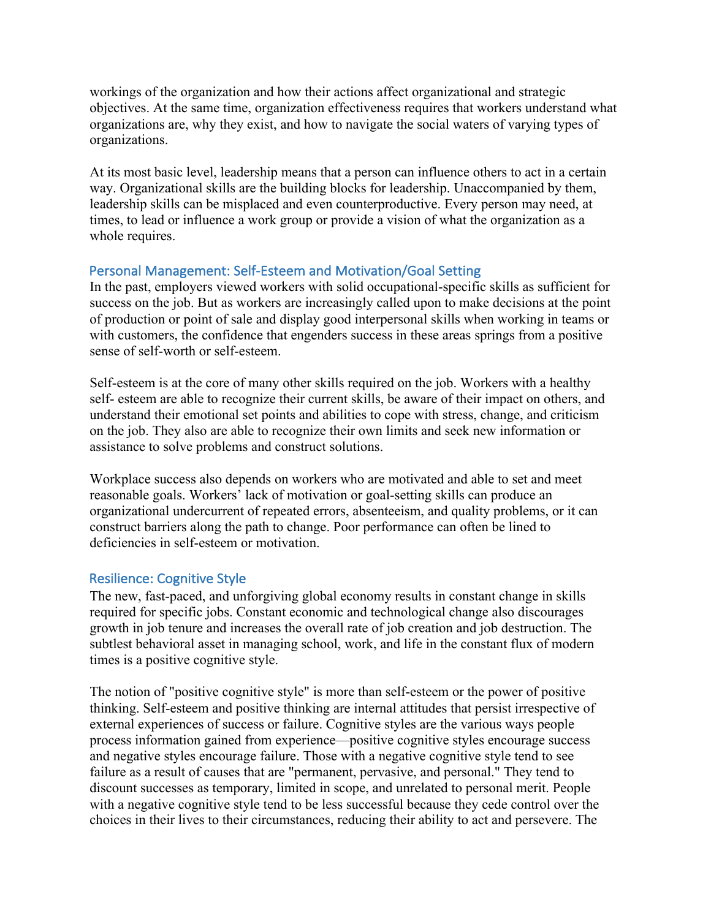workings of the organization and how their actions affect organizational and strategic objectives. At the same time, organization effectiveness requires that workers understand what organizations are, why they exist, and how to navigate the social waters of varying types of organizations.

At its most basic level, leadership means that a person can influence others to act in a certain way. Organizational skills are the building blocks for leadership. Unaccompanied by them, leadership skills can be misplaced and even counterproductive. Every person may need, at times, to lead or influence a work group or provide a vision of what the organization as a whole requires.

## Personal Management: Self-Esteem and Motivation/Goal Setting

In the past, employers viewed workers with solid occupational-specific skills as sufficient for success on the job. But as workers are increasingly called upon to make decisions at the point of production or point of sale and display good interpersonal skills when working in teams or with customers, the confidence that engenders success in these areas springs from a positive sense of self-worth or self-esteem.

Self-esteem is at the core of many other skills required on the job. Workers with a healthy self- esteem are able to recognize their current skills, be aware of their impact on others, and understand their emotional set points and abilities to cope with stress, change, and criticism on the job. They also are able to recognize their own limits and seek new information or assistance to solve problems and construct solutions.

Workplace success also depends on workers who are motivated and able to set and meet reasonable goals. Workers' lack of motivation or goal-setting skills can produce an organizational undercurrent of repeated errors, absenteeism, and quality problems, or it can construct barriers along the path to change. Poor performance can often be lined to deficiencies in self-esteem or motivation.

## Resilience: Cognitive Style

The new, fast-paced, and unforgiving global economy results in constant change in skills required for specific jobs. Constant economic and technological change also discourages growth in job tenure and increases the overall rate of job creation and job destruction. The subtlest behavioral asset in managing school, work, and life in the constant flux of modern times is a positive cognitive style.

The notion of "positive cognitive style" is more than self-esteem or the power of positive thinking. Self-esteem and positive thinking are internal attitudes that persist irrespective of external experiences of success or failure. Cognitive styles are the various ways people process information gained from experience—positive cognitive styles encourage success and negative styles encourage failure. Those with a negative cognitive style tend to see failure as a result of causes that are "permanent, pervasive, and personal." They tend to discount successes as temporary, limited in scope, and unrelated to personal merit. People with a negative cognitive style tend to be less successful because they cede control over the choices in their lives to their circumstances, reducing their ability to act and persevere. The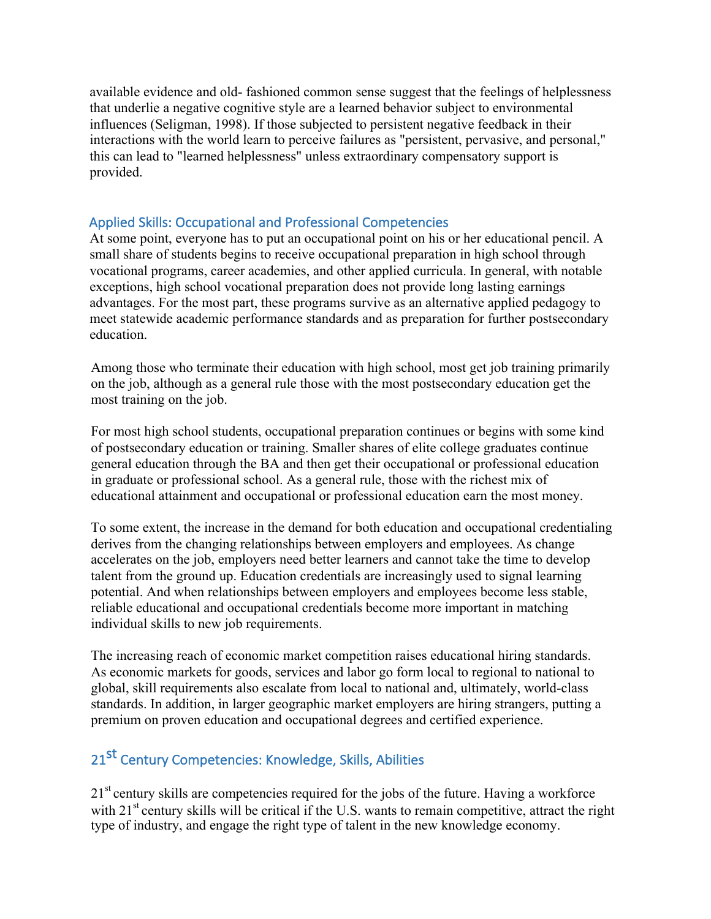available evidence and old- fashioned common sense suggest that the feelings of helplessness that underlie a negative cognitive style are a learned behavior subject to environmental influences (Seligman, 1998). If those subjected to persistent negative feedback in their interactions with the world learn to perceive failures as "persistent, pervasive, and personal," this can lead to "learned helplessness" unless extraordinary compensatory support is provided.

# Applied Skills: Occupational and Professional Competencies

At some point, everyone has to put an occupational point on his or her educational pencil. A small share of students begins to receive occupational preparation in high school through vocational programs, career academies, and other applied curricula. In general, with notable exceptions, high school vocational preparation does not provide long lasting earnings advantages. For the most part, these programs survive as an alternative applied pedagogy to meet statewide academic performance standards and as preparation for further postsecondary education.

Among those who terminate their education with high school, most get job training primarily on the job, although as a general rule those with the most postsecondary education get the most training on the job.

For most high school students, occupational preparation continues or begins with some kind of postsecondary education or training. Smaller shares of elite college graduates continue general education through the BA and then get their occupational or professional education in graduate or professional school. As a general rule, those with the richest mix of educational attainment and occupational or professional education earn the most money.

To some extent, the increase in the demand for both education and occupational credentialing derives from the changing relationships between employers and employees. As change accelerates on the job, employers need better learners and cannot take the time to develop talent from the ground up. Education credentials are increasingly used to signal learning potential. And when relationships between employers and employees become less stable, reliable educational and occupational credentials become more important in matching individual skills to new job requirements.

The increasing reach of economic market competition raises educational hiring standards. As economic markets for goods, services and labor go form local to regional to national to global, skill requirements also escalate from local to national and, ultimately, world-class standards. In addition, in larger geographic market employers are hiring strangers, putting a premium on proven education and occupational degrees and certified experience.

# 21<sup>st</sup> Century Competencies: Knowledge, Skills, Abilities

21<sup>st</sup> century skills are competencies required for the jobs of the future. Having a workforce with 21<sup>st</sup> century skills will be critical if the U.S. wants to remain competitive, attract the right type of industry, and engage the right type of talent in the new knowledge economy.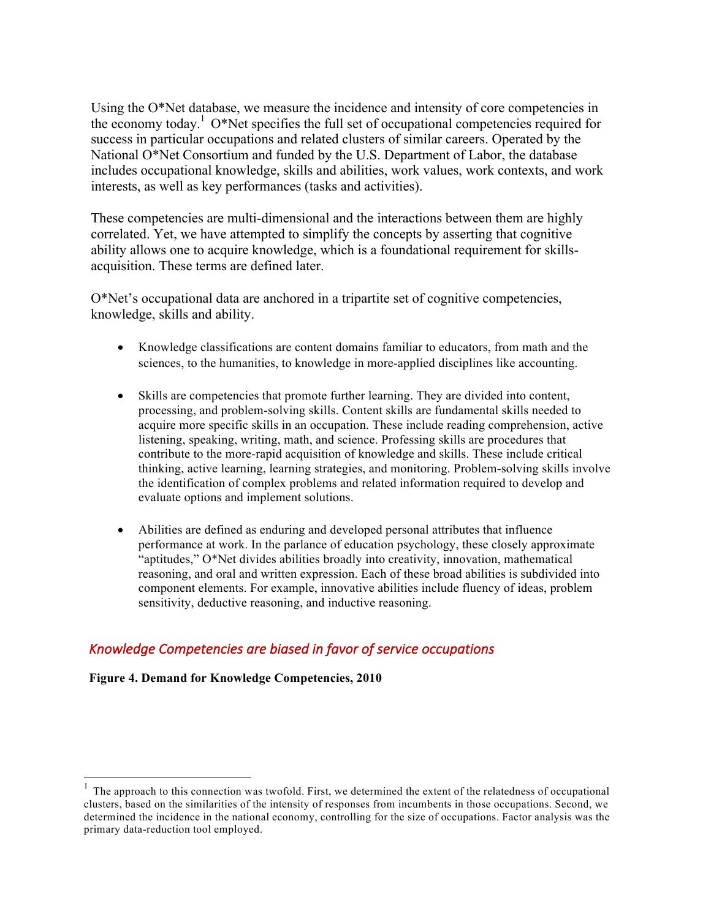Using the O\*Net database, we measure the incidence and intensity of core competencies in the economy today.<sup>1</sup> O\*Net specifies the full set of occupational competencies required for success in particular occupations and related clusters of similar careers. Operated by the National O\*Net Consortium and funded by the U.S. Department of Labor, the database includes occupational knowledge, skills and abilities, work values, work contexts, and work interests, as well as key performances (tasks and activities).

These competencies are multi-dimensional and the interactions between them are highly correlated. Yet, we have attempted to simplify the concepts by asserting that cognitive ability allows one to acquire knowledge, which is a foundational requirement for skillsacquisition. These terms are defined later.

O\*Net's occupational data are anchored in a tripartite set of cognitive competencies, knowledge, skills and ability.

- Knowledge classifications are content domains familiar to educators, from math and the sciences, to the humanities, to knowledge in more-applied disciplines like accounting.
- Skills are competencies that promote further learning. They are divided into content, processing, and problem-solving skills. Content skills are fundamental skills needed to acquire more specific skills in an occupation. These include reading comprehension, active listening, speaking, writing, math, and science. Professing skills are procedures that contribute to the more-rapid acquisition of knowledge and skills. These include critical thinking, active learning, learning strategies, and monitoring. Problem-solving skills involve the identification of complex problems and related information required to develop and evaluate options and implement solutions.
- Abilities are defined as enduring and developed personal attributes that influence performance at work. In the parlance of education psychology, these closely approximate "aptitudes," O\*Net divides abilities broadly into creativity, innovation, mathematical reasoning, and oral and written expression. Each of these broad abilities is subdivided into component elements. For example, innovative abilities include fluency of ideas, problem sensitivity, deductive reasoning, and inductive reasoning.

## Knowledge Competencies are biased in favor of service occupations

**Figure 4. Demand for Knowledge Competencies, 2010**

 $<sup>1</sup>$  The approach to this connection was twofold. First, we determined the extent of the relatedness of occupational</sup> clusters, based on the similarities of the intensity of responses from incumbents in those occupations. Second, we determined the incidence in the national economy, controlling for the size of occupations. Factor analysis was the primary data-reduction tool employed.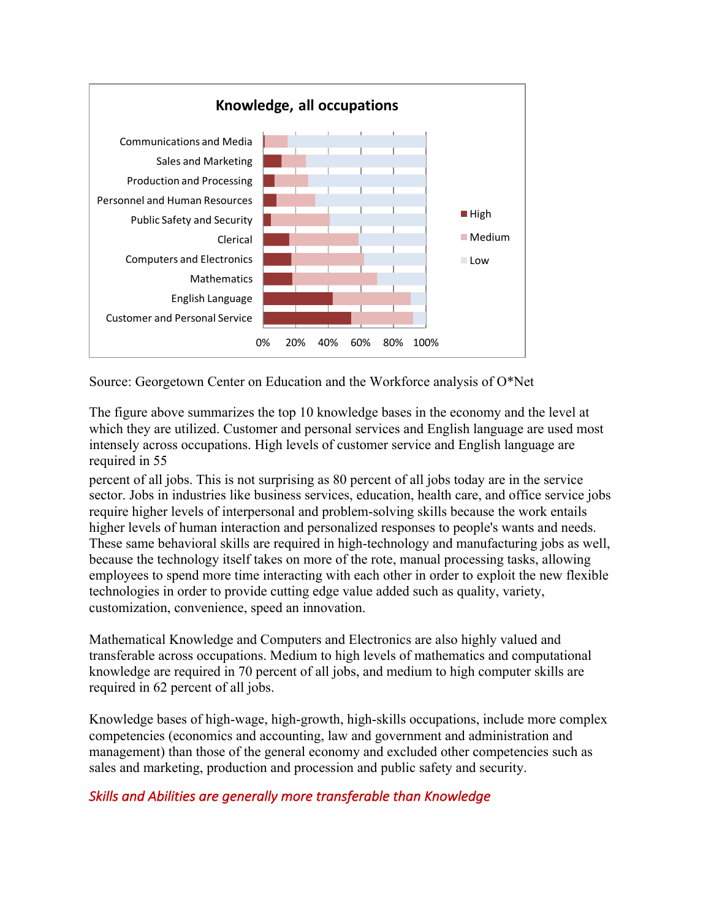

Source: Georgetown Center on Education and the Workforce analysis of O\*Net

The figure above summarizes the top 10 knowledge bases in the economy and the level at which they are utilized. Customer and personal services and English language are used most intensely across occupations. High levels of customer service and English language are required in 55

percent of all jobs. This is not surprising as 80 percent of all jobs today are in the service sector. Jobs in industries like business services, education, health care, and office service jobs require higher levels of interpersonal and problem-solving skills because the work entails higher levels of human interaction and personalized responses to people's wants and needs. These same behavioral skills are required in high-technology and manufacturing jobs as well, because the technology itself takes on more of the rote, manual processing tasks, allowing employees to spend more time interacting with each other in order to exploit the new flexible technologies in order to provide cutting edge value added such as quality, variety, customization, convenience, speed an innovation.

Mathematical Knowledge and Computers and Electronics are also highly valued and transferable across occupations. Medium to high levels of mathematics and computational knowledge are required in 70 percent of all jobs, and medium to high computer skills are required in 62 percent of all jobs.

Knowledge bases of high-wage, high-growth, high-skills occupations, include more complex competencies (economics and accounting, law and government and administration and management) than those of the general economy and excluded other competencies such as sales and marketing, production and procession and public safety and security.

# **Skills and Abilities are generally more transferable than Knowledge**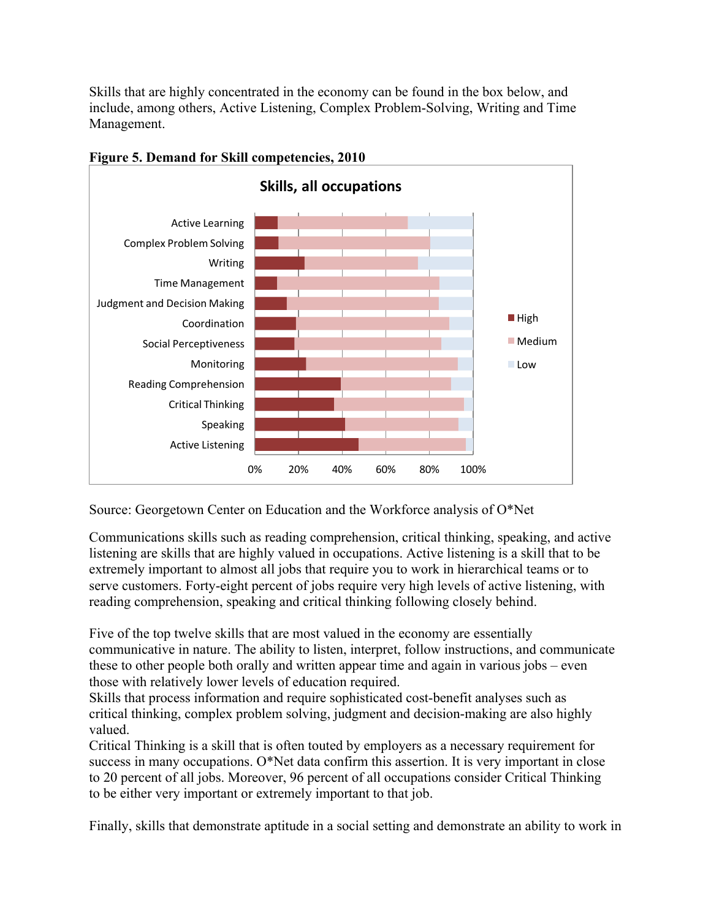Skills that are highly concentrated in the economy can be found in the box below, and include, among others, Active Listening, Complex Problem-Solving, Writing and Time Management.



**Figure 5. Demand for Skill competencies, 2010**

Source: Georgetown Center on Education and the Workforce analysis of O\*Net

Communications skills such as reading comprehension, critical thinking, speaking, and active listening are skills that are highly valued in occupations. Active listening is a skill that to be extremely important to almost all jobs that require you to work in hierarchical teams or to serve customers. Forty-eight percent of jobs require very high levels of active listening, with reading comprehension, speaking and critical thinking following closely behind.

Five of the top twelve skills that are most valued in the economy are essentially communicative in nature. The ability to listen, interpret, follow instructions, and communicate these to other people both orally and written appear time and again in various jobs – even those with relatively lower levels of education required.

Skills that process information and require sophisticated cost-benefit analyses such as critical thinking, complex problem solving, judgment and decision-making are also highly valued.

Critical Thinking is a skill that is often touted by employers as a necessary requirement for success in many occupations. O\*Net data confirm this assertion. It is very important in close to 20 percent of all jobs. Moreover, 96 percent of all occupations consider Critical Thinking to be either very important or extremely important to that job.

Finally, skills that demonstrate aptitude in a social setting and demonstrate an ability to work in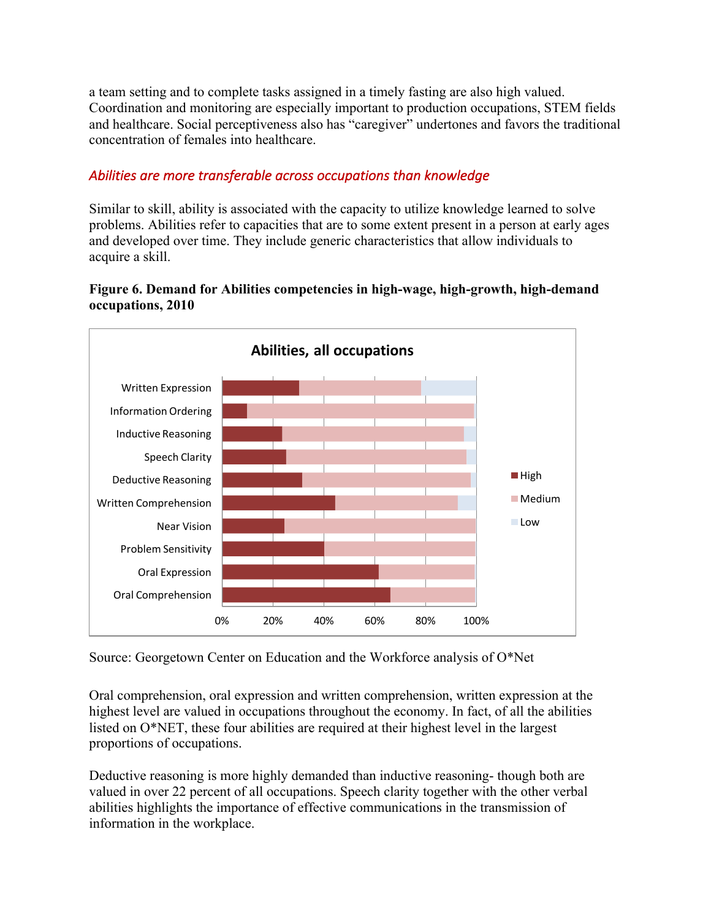a team setting and to complete tasks assigned in a timely fasting are also high valued. Coordination and monitoring are especially important to production occupations, STEM fields and healthcare. Social perceptiveness also has "caregiver" undertones and favors the traditional concentration of females into healthcare.

# Abilities are more transferable across occupations than knowledge

Similar to skill, ability is associated with the capacity to utilize knowledge learned to solve problems. Abilities refer to capacities that are to some extent present in a person at early ages and developed over time. They include generic characteristics that allow individuals to acquire a skill.

# **Figure 6. Demand for Abilities competencies in high-wage, high-growth, high-demand occupations, 2010**



Source: Georgetown Center on Education and the Workforce analysis of O\*Net

Oral comprehension, oral expression and written comprehension, written expression at the highest level are valued in occupations throughout the economy. In fact, of all the abilities listed on O\*NET, these four abilities are required at their highest level in the largest proportions of occupations.

Deductive reasoning is more highly demanded than inductive reasoning- though both are valued in over 22 percent of all occupations. Speech clarity together with the other verbal abilities highlights the importance of effective communications in the transmission of information in the workplace.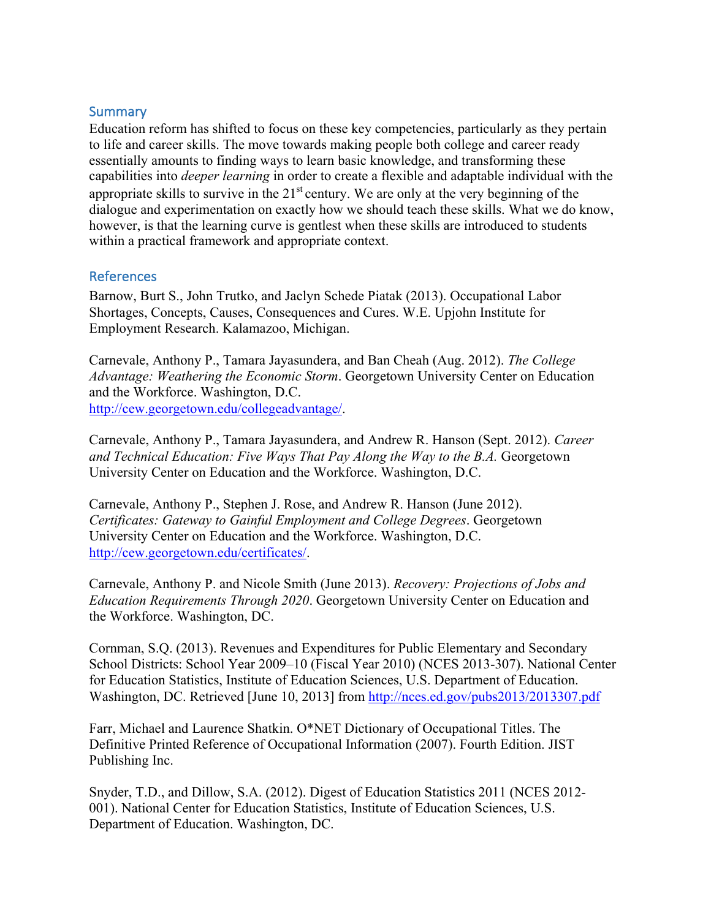### **Summary**

Education reform has shifted to focus on these key competencies, particularly as they pertain to life and career skills. The move towards making people both college and career ready essentially amounts to finding ways to learn basic knowledge, and transforming these capabilities into *deeper learning* in order to create a flexible and adaptable individual with the appropriate skills to survive in the  $21<sup>st</sup>$  century. We are only at the very beginning of the dialogue and experimentation on exactly how we should teach these skills. What we do know, however, is that the learning curve is gentlest when these skills are introduced to students within a practical framework and appropriate context.

#### References

Barnow, Burt S., John Trutko, and Jaclyn Schede Piatak (2013). Occupational Labor Shortages, Concepts, Causes, Consequences and Cures. W.E. Upjohn Institute for Employment Research. Kalamazoo, Michigan.

Carnevale, Anthony P., Tamara Jayasundera, and Ban Cheah (Aug. 2012). *The College Advantage: Weathering the Economic Storm*. Georgetown University Center on Education and the Workforce. Washington, D.C. http://cew.georgetown.edu/collegeadvantage/.

Carnevale, Anthony P., Tamara Jayasundera, and Andrew R. Hanson (Sept. 2012). *Career and Technical Education: Five Ways That Pay Along the Way to the B.A.* Georgetown University Center on Education and the Workforce. Washington, D.C.

Carnevale, Anthony P., Stephen J. Rose, and Andrew R. Hanson (June 2012). *Certificates: Gateway to Gainful Employment and College Degrees*. Georgetown University Center on Education and the Workforce. Washington, D.C. http://cew.georgetown.edu/certificates/.

Carnevale, Anthony P. and Nicole Smith (June 2013). *Recovery: Projections of Jobs and Education Requirements Through 2020*. Georgetown University Center on Education and the Workforce. Washington, DC.

Cornman, S.Q. (2013). Revenues and Expenditures for Public Elementary and Secondary School Districts: School Year 2009–10 (Fiscal Year 2010) (NCES 2013-307). National Center for Education Statistics, Institute of Education Sciences, U.S. Department of Education. Washington, DC. Retrieved [June 10, 2013] from http://nces.ed.gov/pubs2013/2013307.pdf

Farr, Michael and Laurence Shatkin. O\*NET Dictionary of Occupational Titles. The Definitive Printed Reference of Occupational Information (2007). Fourth Edition. JIST Publishing Inc.

Snyder, T.D., and Dillow, S.A. (2012). Digest of Education Statistics 2011 (NCES 2012- 001). National Center for Education Statistics, Institute of Education Sciences, U.S. Department of Education. Washington, DC.